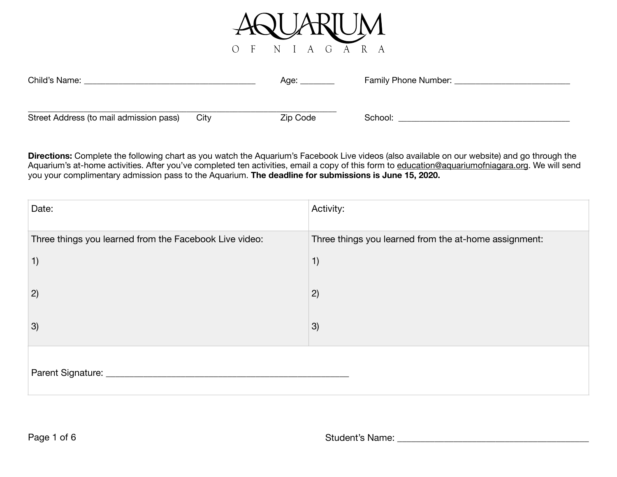

| Child's Name:                           |      | Age:     | Family Phone Number: |
|-----------------------------------------|------|----------|----------------------|
|                                         |      |          |                      |
| Street Address (to mail admission pass) | City | Zip Code | School:              |

**Directions:** Complete the following chart as you watch the Aquarium's Facebook Live videos (also available on our website) and go through the Aquarium's at-home activities. After you've completed ten activities, email a copy of this form to [education@aquariumofniagara.org](mailto:kjones@aquariumofniagara.org). We will send you your complimentary admission pass to the Aquarium. **The deadline for submissions is June 15, 2020.**

| Date:                                                  | Activity:                                             |  |
|--------------------------------------------------------|-------------------------------------------------------|--|
| Three things you learned from the Facebook Live video: | Three things you learned from the at-home assignment: |  |
| 1)                                                     | 1)                                                    |  |
| 2)                                                     | 2)                                                    |  |
| 3)                                                     | 3)                                                    |  |
| Parent Signature: _                                    |                                                       |  |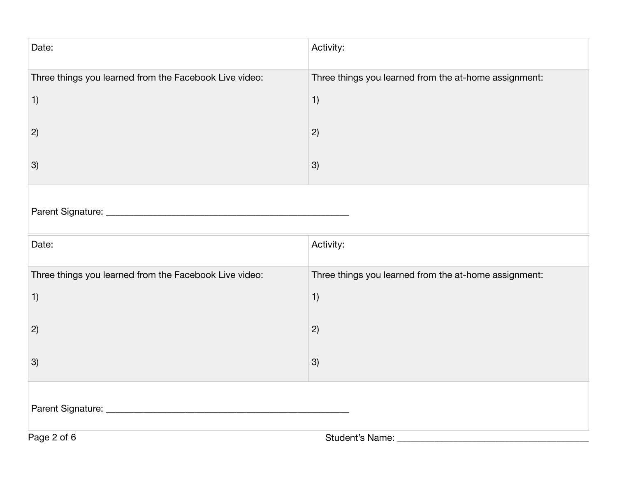| Date:                                                  | Activity:                                             |  |
|--------------------------------------------------------|-------------------------------------------------------|--|
| Three things you learned from the Facebook Live video: | Three things you learned from the at-home assignment: |  |
| 1)                                                     | 1)                                                    |  |
| 2)                                                     | 2)                                                    |  |
| 3)                                                     | 3)                                                    |  |
|                                                        |                                                       |  |
| Date:                                                  | Activity:                                             |  |
| Three things you learned from the Facebook Live video: | Three things you learned from the at-home assignment: |  |
| 1)                                                     | 1)                                                    |  |
| 2)                                                     | 2)                                                    |  |
| 3)                                                     | 3)                                                    |  |
|                                                        |                                                       |  |
| Page 2 of 6                                            | Student's Name:                                       |  |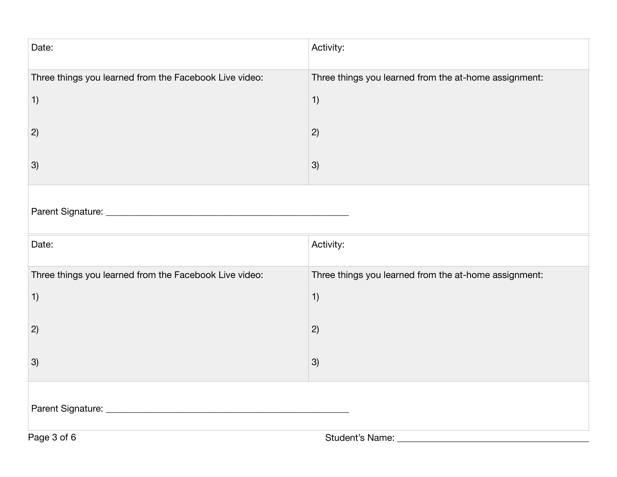| Date:                                                  | Activity:                                             |  |
|--------------------------------------------------------|-------------------------------------------------------|--|
| Three things you learned from the Facebook Live video: | Three things you learned from the at-home assignment: |  |
| 1)                                                     | 1)                                                    |  |
| 2)                                                     | 2)                                                    |  |
| 3)                                                     | 3)                                                    |  |
|                                                        |                                                       |  |
| Date:                                                  | Activity:                                             |  |
| Three things you learned from the Facebook Live video: | Three things you learned from the at-home assignment: |  |
| 1)                                                     | 1)                                                    |  |
| 2)                                                     | 2)                                                    |  |
| 3)                                                     | 3)                                                    |  |
|                                                        |                                                       |  |
| Page 3 of 6                                            | Student's Name:                                       |  |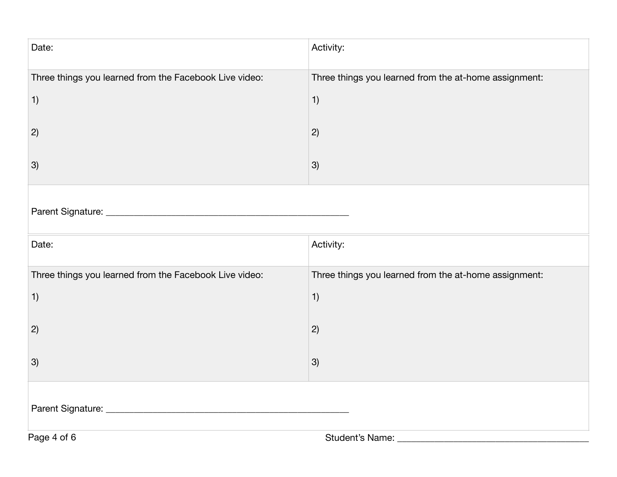| Date:                                                  | Activity:                                             |  |
|--------------------------------------------------------|-------------------------------------------------------|--|
| Three things you learned from the Facebook Live video: | Three things you learned from the at-home assignment: |  |
| 1)                                                     | 1)                                                    |  |
| 2)                                                     | 2)                                                    |  |
| 3)                                                     | 3)                                                    |  |
|                                                        |                                                       |  |
| Date:                                                  | Activity:                                             |  |
| Three things you learned from the Facebook Live video: | Three things you learned from the at-home assignment: |  |
| 1)                                                     | 1)                                                    |  |
| 2)                                                     | 2)                                                    |  |
| 3)                                                     | 3)                                                    |  |
|                                                        |                                                       |  |
| Page 4 of 6                                            | Student's Name:                                       |  |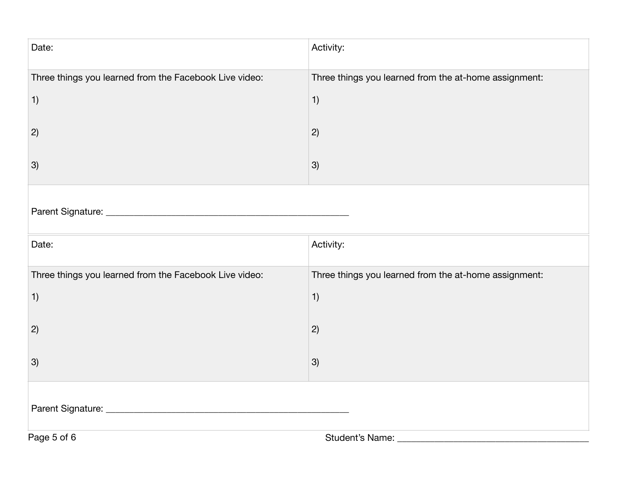| Date:                                                  | Activity:                                             |  |
|--------------------------------------------------------|-------------------------------------------------------|--|
| Three things you learned from the Facebook Live video: | Three things you learned from the at-home assignment: |  |
| 1)                                                     | 1)                                                    |  |
| 2)                                                     | 2)                                                    |  |
| 3)                                                     | 3)                                                    |  |
|                                                        |                                                       |  |
| Date:                                                  | Activity:                                             |  |
| Three things you learned from the Facebook Live video: | Three things you learned from the at-home assignment: |  |
| 1)                                                     | 1)                                                    |  |
| 2)                                                     | 2)                                                    |  |
| 3)                                                     | 3)                                                    |  |
|                                                        |                                                       |  |
| Page 5 of 6                                            | Student's Name:                                       |  |